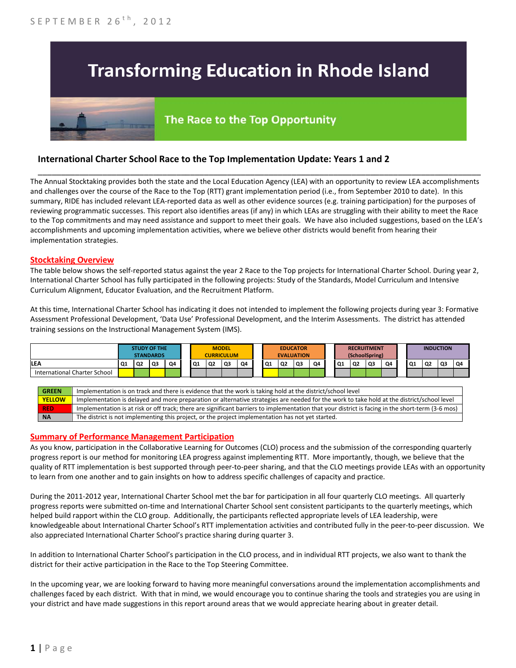# **Transforming Education in Rhode Island**

# The Race to the Top Opportunity

## **International Charter School Race to the Top Implementation Update: Years 1 and 2**

The Annual Stocktaking provides both the state and the Local Education Agency (LEA) with an opportunity to review LEA accomplishments and challenges over the course of the Race to the Top (RTT) grant implementation period (i.e., from September 2010 to date). In this summary, RIDE has included relevant LEA-reported data as well as other evidence sources (e.g. training participation) for the purposes of reviewing programmatic successes. This report also identifies areas (if any) in which LEAs are struggling with their ability to meet the Race to the Top commitments and may need assistance and support to meet their goals. We have also included suggestions, based on the LEA's accomplishments and upcoming implementation activities, where we believe other districts would benefit from hearing their implementation strategies.

\_\_\_\_\_\_\_\_\_\_\_\_\_\_\_\_\_\_\_\_\_\_\_\_\_\_\_\_\_\_\_\_\_\_\_\_\_\_\_\_\_\_\_\_\_\_\_\_\_\_\_\_\_\_\_\_\_\_\_\_\_\_\_\_\_\_\_\_\_\_\_\_\_\_\_\_\_\_\_\_\_\_\_\_\_\_\_\_\_\_\_\_\_\_\_\_

#### **Stocktaking Overview**

The table below shows the self-reported status against the year 2 Race to the Top projects for International Charter School. During year 2, International Charter School has fully participated in the following projects: Study of the Standards, Model Curriculum and Intensive Curriculum Alignment, Educator Evaluation, and the Recruitment Platform.

At this time, International Charter School has indicating it does not intended to implement the following projects during year 3: Formative Assessment Professional Development, 'Data Use' Professional Development, and the Interim Assessments. The district has attended training sessions on the Instructional Management System (IMS).



#### **Summary of Performance Management Participation**

As you know, participation in the Collaborative Learning for Outcomes (CLO) process and the submission of the corresponding quarterly progress report is our method for monitoring LEA progress against implementing RTT. More importantly, though, we believe that the quality of RTT implementation is best supported through peer-to-peer sharing, and that the CLO meetings provide LEAs with an opportunity to learn from one another and to gain insights on how to address specific challenges of capacity and practice.

During the 2011-2012 year, International Charter School met the bar for participation in all four quarterly CLO meetings. All quarterly progress reports were submitted on-time and International Charter School sent consistent participants to the quarterly meetings, which helped build rapport within the CLO group. Additionally, the participants reflected appropriate levels of LEA leadership, were knowledgeable about International Charter School's RTT implementation activities and contributed fully in the peer-to-peer discussion. We also appreciated International Charter School's practice sharing during quarter 3.

In addition to International Charter School's participation in the CLO process, and in individual RTT projects, we also want to thank the district for their active participation in the Race to the Top Steering Committee.

In the upcoming year, we are looking forward to having more meaningful conversations around the implementation accomplishments and challenges faced by each district. With that in mind, we would encourage you to continue sharing the tools and strategies you are using in your district and have made suggestions in this report around areas that we would appreciate hearing about in greater detail.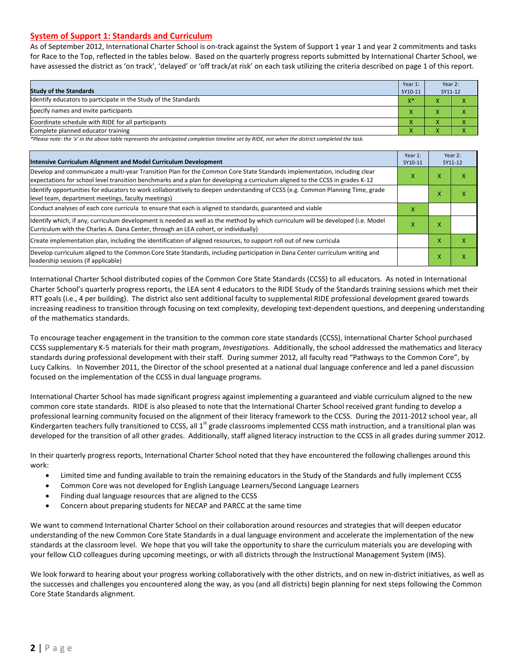#### **System of Support 1: Standards and Curriculum**

As of September 2012, International Charter School is on-track against the System of Support 1 year 1 and year 2 commitments and tasks for Race to the Top, reflected in the tables below. Based on the quarterly progress reports submitted by International Charter School, we have assessed the district as 'on track', 'delayed' or 'off track/at risk' on each task utilizing the criteria described on page 1 of this report.

| <b>Study of the Standards</b>                                   | Year 1:<br>SY10-11 | Year 2:<br>SY11-12 |  |
|-----------------------------------------------------------------|--------------------|--------------------|--|
| Identify educators to participate in the Study of the Standards | $V^*$              |                    |  |
| Specify names and invite participants                           |                    |                    |  |
| Coordinate schedule with RIDE for all participants              |                    |                    |  |
| Complete planned educator training                              | $\mathbf{\Lambda}$ | ∧                  |  |

*\*Please note: the 'x' in the above table represents the anticipated completion timeline set by RIDE, not when the district completed the task.*

| Intensive Curriculum Alignment and Model Curriculum Development                                                                                                                                                                                           |   |   | Year 2:<br>SY11-12 |
|-----------------------------------------------------------------------------------------------------------------------------------------------------------------------------------------------------------------------------------------------------------|---|---|--------------------|
| Develop and communicate a multi-year Transition Plan for the Common Core State Standards implementation, including clear<br>expectations for school level transition benchmarks and a plan for developing a curriculum aligned to the CCSS in grades K-12 |   |   | ⋏                  |
| Identify opportunities for educators to work collaboratively to deepen understanding of CCSS (e.g. Common Planning Time, grade<br>level team, department meetings, faculty meetings)                                                                      |   | x | $\checkmark$<br>л  |
| Conduct analyses of each core curricula to ensure that each is aligned to standards, guaranteed and viable                                                                                                                                                | x |   |                    |
| Identify which, if any, curriculum development is needed as well as the method by which curriculum will be developed (i.e. Model<br>Curriculum with the Charles A. Dana Center, through an LEA cohort, or individually)                                   |   | x |                    |
| Create implementation plan, including the identification of aligned resources, to support roll out of new curricula                                                                                                                                       |   | X | x                  |
| Develop curriculum aligned to the Common Core State Standards, including participation in Dana Center curriculum writing and<br>leadership sessions (if applicable)                                                                                       |   | Χ | x                  |

International Charter School distributed copies of the Common Core State Standards (CCSS) to all educators. As noted in International Charter School's quarterly progress reports, the LEA sent 4 educators to the RIDE Study of the Standards training sessions which met their RTT goals (i.e., 4 per building). The district also sent additional faculty to supplemental RIDE professional development geared towards increasing readiness to transition through focusing on text complexity, developing text-dependent questions, and deepening understanding of the mathematics standards.

To encourage teacher engagement in the transition to the common core state standards (CCSS), International Charter School purchased CCSS supplementary K-5 materials for their math program, *Investigations.* Additionally, the school addressed the mathematics and literacy standards during professional development with their staff. During summer 2012, all faculty read "Pathways to the Common Core", by Lucy Calkins. In November 2011, the Director of the school presented at a national dual language conference and led a panel discussion focused on the implementation of the CCSS in dual language programs.

International Charter School has made significant progress against implementing a guaranteed and viable curriculum aligned to the new common core state standards. RIDE is also pleased to note that the International Charter School received grant funding to develop a professional learning community focused on the alignment of their literacy framework to the CCSS. During the 2011-2012 school year, all Kindergarten teachers fully transitioned to CCSS, all  $1^{st}$  grade classrooms implemented CCSS math instruction, and a transitional plan was developed for the transition of all other grades. Additionally, staff aligned literacy instruction to the CCSS in all grades during summer 2012.

In their quarterly progress reports, International Charter School noted that they have encountered the following challenges around this work:

- Limited time and funding available to train the remaining educators in the Study of the Standards and fully implement CCSS
- Common Core was not developed for English Language Learners/Second Language Learners
- Finding dual language resources that are aligned to the CCSS
- Concern about preparing students for NECAP and PARCC at the same time

We want to commend International Charter School on their collaboration around resources and strategies that will deepen educator understanding of the new Common Core State Standards in a dual language environment and accelerate the implementation of the new standards at the classroom level. We hope that you will take the opportunity to share the curriculum materials you are developing with your fellow CLO colleagues during upcoming meetings, or with all districts through the Instructional Management System (IMS).

We look forward to hearing about your progress working collaboratively with the other districts, and on new in-district initiatives, as well as the successes and challenges you encountered along the way, as you (and all districts) begin planning for next steps following the Common Core State Standards alignment.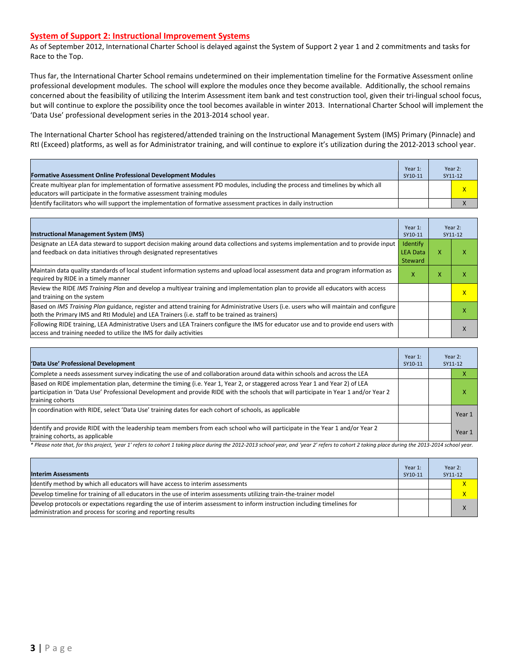#### **System of Support 2: Instructional Improvement Systems**

As of September 2012, International Charter School is delayed against the System of Support 2 year 1 and 2 commitments and tasks for Race to the Top.

Thus far, the International Charter School remains undetermined on their implementation timeline for the Formative Assessment online professional development modules. The school will explore the modules once they become available. Additionally, the school remains concerned about the feasibility of utilizing the Interim Assessment item bank and test construction tool, given their tri-lingual school focus, but will continue to explore the possibility once the tool becomes available in winter 2013. International Charter School will implement the 'Data Use' professional development series in the 2013-2014 school year.

The International Charter School has registered/attended training on the Instructional Management System (IMS) Primary (Pinnacle) and RtI (Exceed) platforms, as well as for Administrator training, and will continue to explore it's utilization during the 2012-2013 school year.

| <b>Formative Assessment Online Professional Development Modules</b>                                                                                                                                      | Year 1:<br>SY10-11 | Year 2:<br>SY11-12 |   |
|----------------------------------------------------------------------------------------------------------------------------------------------------------------------------------------------------------|--------------------|--------------------|---|
| Create multivear plan for implementation of formative assessment PD modules, including the process and timelines by which all<br>educators will participate in the formative assessment training modules |                    |                    | x |
| ldentify facilitators who will support the implementation of formative assessment practices in daily instruction                                                                                         |                    |                    |   |

| <b>Instructional Management System (IMS)</b>                                                                                                                                                                                           | Year 1:<br>SY10-11                     |   | Year 2:<br>SY11-12 |
|----------------------------------------------------------------------------------------------------------------------------------------------------------------------------------------------------------------------------------------|----------------------------------------|---|--------------------|
| Designate an LEA data steward to support decision making around data collections and systems implementation and to provide input<br>and feedback on data initiatives through designated representatives                                | Identify<br><b>LEA Data</b><br>Steward | x |                    |
| Maintain data quality standards of local student information systems and upload local assessment data and program information as<br>required by RIDE in a timely manner                                                                |                                        |   |                    |
| Review the RIDE IMS Training Plan and develop a multiyear training and implementation plan to provide all educators with access<br>and training on the system                                                                          |                                        |   | $\mathsf{x}$       |
| Based on IMS Training Plan guidance, register and attend training for Administrative Users (i.e. users who will maintain and configure<br>both the Primary IMS and RtI Module) and LEA Trainers (i.e. staff to be trained as trainers) |                                        |   |                    |
| Following RIDE training, LEA Administrative Users and LEA Trainers configure the IMS for educator use and to provide end users with<br>access and training needed to utilize the IMS for daily activities                              |                                        |   |                    |

| 'Data Use' Professional Development                                                                                                                                                                                                                                                     | Year 1:<br>SY10-11 |  | Year 2:<br>SY11-12 |
|-----------------------------------------------------------------------------------------------------------------------------------------------------------------------------------------------------------------------------------------------------------------------------------------|--------------------|--|--------------------|
| Complete a needs assessment survey indicating the use of and collaboration around data within schools and across the LEA                                                                                                                                                                |                    |  | ⋏                  |
| Based on RIDE implementation plan, determine the timing (i.e. Year 1, Year 2, or staggered across Year 1 and Year 2) of LEA<br>participation in 'Data Use' Professional Development and provide RIDE with the schools that will participate in Year 1 and/or Year 2<br>training cohorts |                    |  | ⋏                  |
| In coordination with RIDE, select 'Data Use' training dates for each cohort of schools, as applicable                                                                                                                                                                                   |                    |  | Year 1             |
| Identify and provide RIDE with the leadership team members from each school who will participate in the Year 1 and/or Year 2<br>training cohorts, as applicable                                                                                                                         |                    |  | Year 1             |

*\* Please note that, for this project, 'year 1' refers to cohort 1 taking place during the 2012-2013 school year, and 'year 2' refers to cohort 2 taking place during the 2013-2014 school year.*

| <b>Interim Assessments</b>                                                                                                                                                              | Year 1:<br>SY10-11 | Year 2:<br>SY11-12 |   |
|-----------------------------------------------------------------------------------------------------------------------------------------------------------------------------------------|--------------------|--------------------|---|
| Identify method by which all educators will have access to interim assessments                                                                                                          |                    |                    |   |
| Develop timeline for training of all educators in the use of interim assessments utilizing train-the-trainer model                                                                      |                    |                    |   |
| Develop protocols or expectations regarding the use of interim assessment to inform instruction including timelines for<br>administration and process for scoring and reporting results |                    |                    | X |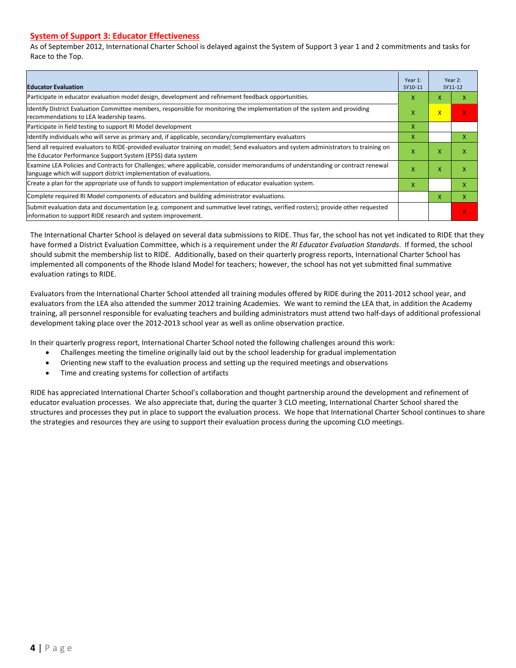#### **System of Support 3: Educator Effectiveness**

As of September 2012, International Charter School is delayed against the System of Support 3 year 1 and 2 commitments and tasks for Race to the Top.

| <b>Educator Evaluation</b>                                                                                                                                                                            |   |              | Year 2:<br>SY11-12 |
|-------------------------------------------------------------------------------------------------------------------------------------------------------------------------------------------------------|---|--------------|--------------------|
| Participate in educator evaluation model design, development and refinement feedback opportunities.                                                                                                   | X | x            |                    |
| Identify District Evaluation Committee members, responsible for monitoring the implementation of the system and providing<br>recommendations to LEA leadership teams.                                 | х | $\mathsf{x}$ | x                  |
| Participate in field testing to support RI Model development                                                                                                                                          | x |              |                    |
| Ildentify individuals who will serve as primary and, if applicable, secondary/complementary evaluators                                                                                                | x |              | x                  |
| Send all required evaluators to RIDE-provided evaluator training on model; Send evaluators and system administrators to training on<br>the Educator Performance Support System (EPSS) data system     | х | X            |                    |
| Examine LEA Policies and Contracts for Challenges; where applicable, consider memorandums of understanding or contract renewal<br>language which will support district implementation of evaluations. |   | X            |                    |
| Create a plan for the appropriate use of funds to support implementation of educator evaluation system.                                                                                               |   |              | x                  |
| Complete required RI Model components of educators and building administrator evaluations.                                                                                                            |   |              | x                  |
| Submit evaluation data and documentation (e.g. component and summative level ratings, verified rosters); provide other requested<br>linformation to support RIDE research and system improvement.     |   |              | X.                 |

The International Charter School is delayed on several data submissions to RIDE. Thus far, the school has not yet indicated to RIDE that they have formed a District Evaluation Committee, which is a requirement under the *RI Educator Evaluation Standards*. If formed, the school should submit the membership list to RIDE. Additionally, based on their quarterly progress reports, International Charter School has implemented all components of the Rhode Island Model for teachers; however, the school has not yet submitted final summative evaluation ratings to RIDE.

Evaluators from the International Charter School attended all training modules offered by RIDE during the 2011-2012 school year, and evaluators from the LEA also attended the summer 2012 training Academies. We want to remind the LEA that, in addition the Academy training, all personnel responsible for evaluating teachers and building administrators must attend two half-days of additional professional development taking place over the 2012-2013 school year as well as online observation practice.

In their quarterly progress report, International Charter School noted the following challenges around this work:

- Challenges meeting the timeline originally laid out by the school leadership for gradual implementation
- Orienting new staff to the evaluation process and setting up the required meetings and observations
- Time and creating systems for collection of artifacts

RIDE has appreciated International Charter School's collaboration and thought partnership around the development and refinement of educator evaluation processes. We also appreciate that, during the quarter 3 CLO meeting, International Charter School shared the structures and processes they put in place to support the evaluation process. We hope that International Charter School continues to share the strategies and resources they are using to support their evaluation process during the upcoming CLO meetings.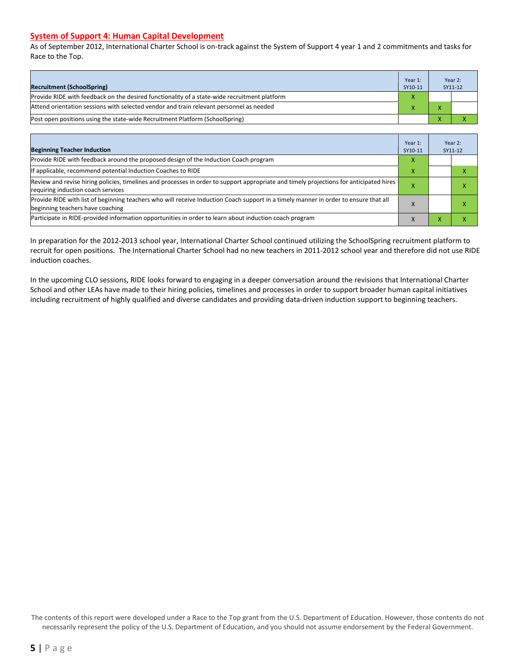#### **System of Support 4: Human Capital Development**

As of September 2012, International Charter School is on-track against the System of Support 4 year 1 and 2 commitments and tasks for Race to the Top.

| <b>Recruitment (SchoolSpring)</b>                                                            | Year 1:<br>SY10-11 |                          | Year 2:<br>SY11-12 |
|----------------------------------------------------------------------------------------------|--------------------|--------------------------|--------------------|
| Provide RIDE with feedback on the desired functionality of a state-wide recruitment platform |                    |                          |                    |
| Attend orientation sessions with selected vendor and train relevant personnel as needed      |                    | $\overline{ }$           |                    |
| (Post open positions using the state-wide Recruitment Platform (SchoolSpring)                |                    | $\overline{\phantom{a}}$ |                    |

| <b>Beginning Teacher Induction</b>                                                                                                                                            | Year 1:<br>SY10-11 |   | Year 2:<br>SY11-12 |
|-------------------------------------------------------------------------------------------------------------------------------------------------------------------------------|--------------------|---|--------------------|
| Provide RIDE with feedback around the proposed design of the Induction Coach program                                                                                          | X                  |   |                    |
| If applicable, recommend potential Induction Coaches to RIDE                                                                                                                  | X                  |   |                    |
| Review and revise hiring policies, timelines and processes in order to support appropriate and timely projections for anticipated hires<br>requiring induction coach services | х                  |   | л                  |
| Provide RIDE with list of beginning teachers who will receive Induction Coach support in a timely manner in order to ensure that all<br>beginning teachers have coaching      | X                  |   | л                  |
| Participate in RIDE-provided information opportunities in order to learn about induction coach program                                                                        | X                  | ⋏ | ⋏                  |

In preparation for the 2012-2013 school year, International Charter School continued utilizing the SchoolSpring recruitment platform to recruit for open positions. The International Charter School had no new teachers in 2011-2012 school year and therefore did not use RIDE induction coaches.

In the upcoming CLO sessions, RIDE looks forward to engaging in a deeper conversation around the revisions that International Charter School and other LEAs have made to their hiring policies, timelines and processes in order to support broader human capital initiatives including recruitment of highly qualified and diverse candidates and providing data-driven induction support to beginning teachers.

The contents of this report were developed under a Race to the Top grant from the U.S. Department of Education. However, those contents do not necessarily represent the policy of the U.S. Department of Education, and you should not assume endorsement by the Federal Government.